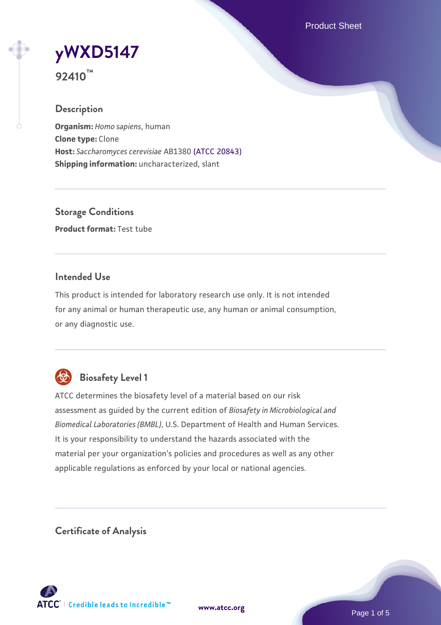Product Sheet

**[yWXD5147](https://www.atcc.org/products/92410)**

**92410™**

## **Description**

**Organism:** *Homo sapiens*, human **Clone type:** Clone **Host:** *Saccharomyces cerevisiae* AB1380 [\(ATCC 20843\)](https://www.atcc.org/products/20843) **Shipping information:** uncharacterized, slant

**Storage Conditions Product format:** Test tube

## **Intended Use**

This product is intended for laboratory research use only. It is not intended for any animal or human therapeutic use, any human or animal consumption, or any diagnostic use.



## **Biosafety Level 1**

ATCC determines the biosafety level of a material based on our risk assessment as guided by the current edition of *Biosafety in Microbiological and Biomedical Laboratories (BMBL)*, U.S. Department of Health and Human Services. It is your responsibility to understand the hazards associated with the material per your organization's policies and procedures as well as any other applicable regulations as enforced by your local or national agencies.

**Certificate of Analysis**

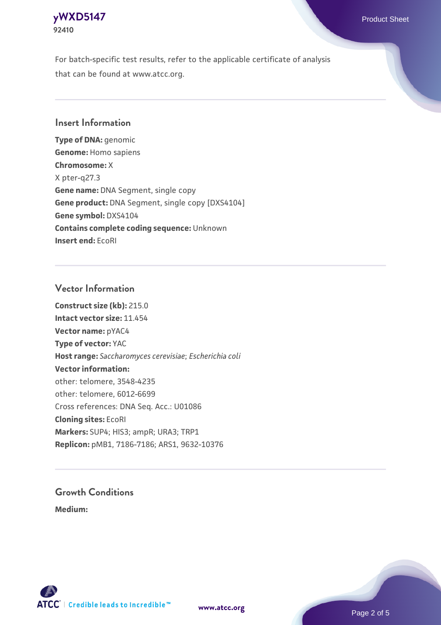## **[yWXD5147](https://www.atcc.org/products/92410)** Product Sheet **92410**

For batch-specific test results, refer to the applicable certificate of analysis that can be found at www.atcc.org.

## **Insert Information**

**Type of DNA:** genomic **Genome:** Homo sapiens **Chromosome:** X X pter-q27.3 **Gene name:** DNA Segment, single copy **Gene product:** DNA Segment, single copy [DXS4104] **Gene symbol:** DXS4104 **Contains complete coding sequence:** Unknown **Insert end:** EcoRI

## **Vector Information**

**Construct size (kb):** 215.0 **Intact vector size:** 11.454 **Vector name:** pYAC4 **Type of vector:** YAC **Host range:** *Saccharomyces cerevisiae*; *Escherichia coli* **Vector information:** other: telomere, 3548-4235 other: telomere, 6012-6699 Cross references: DNA Seq. Acc.: U01086 **Cloning sites:** EcoRI **Markers:** SUP4; HIS3; ampR; URA3; TRP1 **Replicon:** pMB1, 7186-7186; ARS1, 9632-10376

# **Growth Conditions**

**Medium:** 



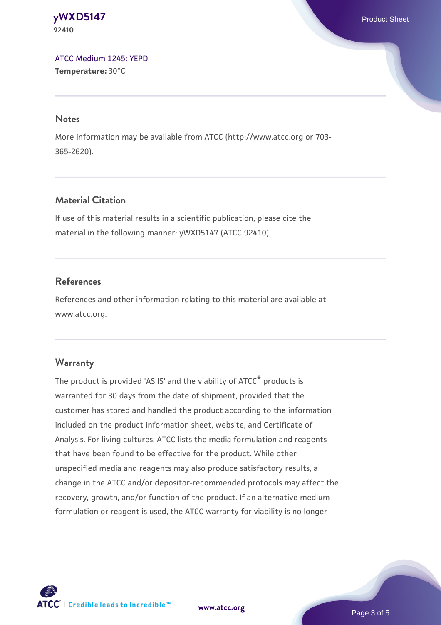#### **[yWXD5147](https://www.atcc.org/products/92410)** Product Sheet **92410**

[ATCC Medium 1245: YEPD](https://www.atcc.org/-/media/product-assets/documents/microbial-media-formulations/1/2/4/5/atcc-medium-1245.pdf?rev=705ca55d1b6f490a808a965d5c072196) **Temperature:** 30°C

#### **Notes**

More information may be available from ATCC (http://www.atcc.org or 703- 365-2620).

## **Material Citation**

If use of this material results in a scientific publication, please cite the material in the following manner: yWXD5147 (ATCC 92410)

## **References**

References and other information relating to this material are available at www.atcc.org.

## **Warranty**

The product is provided 'AS IS' and the viability of ATCC® products is warranted for 30 days from the date of shipment, provided that the customer has stored and handled the product according to the information included on the product information sheet, website, and Certificate of Analysis. For living cultures, ATCC lists the media formulation and reagents that have been found to be effective for the product. While other unspecified media and reagents may also produce satisfactory results, a change in the ATCC and/or depositor-recommended protocols may affect the recovery, growth, and/or function of the product. If an alternative medium formulation or reagent is used, the ATCC warranty for viability is no longer



**[www.atcc.org](http://www.atcc.org)**

Page 3 of 5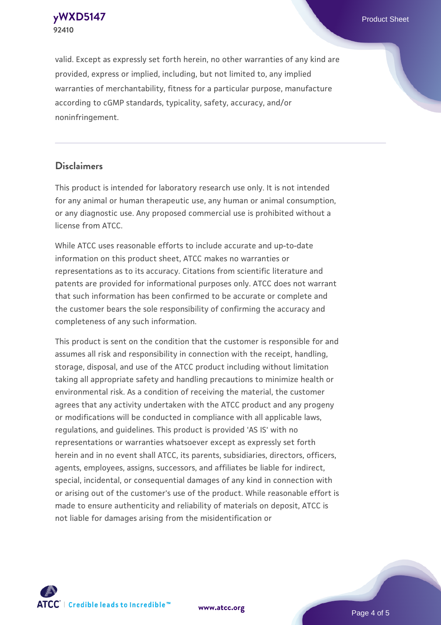**[yWXD5147](https://www.atcc.org/products/92410)** Product Sheet **92410**

valid. Except as expressly set forth herein, no other warranties of any kind are provided, express or implied, including, but not limited to, any implied warranties of merchantability, fitness for a particular purpose, manufacture according to cGMP standards, typicality, safety, accuracy, and/or noninfringement.

#### **Disclaimers**

This product is intended for laboratory research use only. It is not intended for any animal or human therapeutic use, any human or animal consumption, or any diagnostic use. Any proposed commercial use is prohibited without a license from ATCC.

While ATCC uses reasonable efforts to include accurate and up-to-date information on this product sheet, ATCC makes no warranties or representations as to its accuracy. Citations from scientific literature and patents are provided for informational purposes only. ATCC does not warrant that such information has been confirmed to be accurate or complete and the customer bears the sole responsibility of confirming the accuracy and completeness of any such information.

This product is sent on the condition that the customer is responsible for and assumes all risk and responsibility in connection with the receipt, handling, storage, disposal, and use of the ATCC product including without limitation taking all appropriate safety and handling precautions to minimize health or environmental risk. As a condition of receiving the material, the customer agrees that any activity undertaken with the ATCC product and any progeny or modifications will be conducted in compliance with all applicable laws, regulations, and guidelines. This product is provided 'AS IS' with no representations or warranties whatsoever except as expressly set forth herein and in no event shall ATCC, its parents, subsidiaries, directors, officers, agents, employees, assigns, successors, and affiliates be liable for indirect, special, incidental, or consequential damages of any kind in connection with or arising out of the customer's use of the product. While reasonable effort is made to ensure authenticity and reliability of materials on deposit, ATCC is not liable for damages arising from the misidentification or



**[www.atcc.org](http://www.atcc.org)**

Page 4 of 5